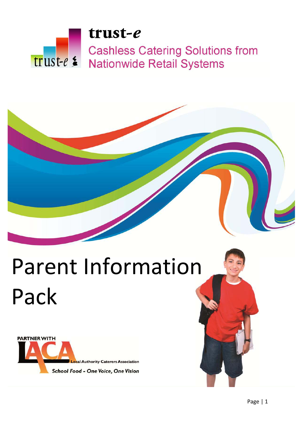# trust-e **Cashless Catering Solutions from** trust-e & **Nationwide Retail Systems**

# Parent Information Pack



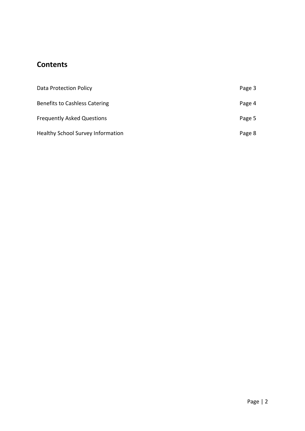# **Contents**

| Data Protection Policy                   | Page 3 |
|------------------------------------------|--------|
| <b>Benefits to Cashless Catering</b>     | Page 4 |
| <b>Frequently Asked Questions</b>        | Page 5 |
| <b>Healthy School Survey Information</b> | Page 8 |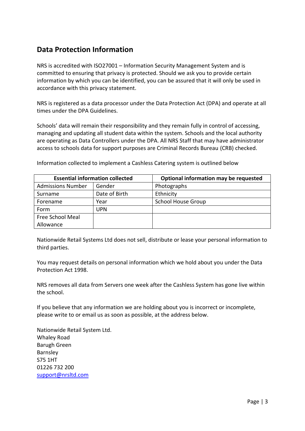## **Data Protection Information**

NRS is accredited with ISO27001 – Information Security Management System and is committed to ensuring that privacy is protected. Should we ask you to provide certain information by which you can be identified, you can be assured that it will only be used in accordance with this privacy statement.

NRS is registered as a data processor under the Data Protection Act (DPA) and operate at all times under the DPA Guidelines.

Schools' data will remain their responsibility and they remain fully in control of accessing, managing and updating all student data within the system. Schools and the local authority are operating as Data Controllers under the DPA. All NRS Staff that may have administrator access to schools data for support purposes are Criminal Records Bureau (CRB) checked.

| <b>Essential information collected</b> |               | Optional information may be requested |
|----------------------------------------|---------------|---------------------------------------|
| <b>Admissions Number</b>               | Gender        | Photographs                           |
| Surname                                | Date of Birth | Ethnicity                             |
| Forename                               | Year          | <b>School House Group</b>             |
| Form                                   | UPN           |                                       |
| Free School Meal                       |               |                                       |
| Allowance                              |               |                                       |

Information collected to implement a Cashless Catering system is outlined below

Nationwide Retail Systems Ltd does not sell, distribute or lease your personal information to third parties.

You may request details on personal information which we hold about you under the Data Protection Act 1998.

NRS removes all data from Servers one week after the Cashless System has gone live within the school.

If you believe that any information we are holding about you is incorrect or incomplete, please write to or email us as soon as possible, at the address below.

Nationwide Retail System Ltd. Whaley Road Barugh Green Barnsley S75 1HT 01226 732 200 support@nrsltd.com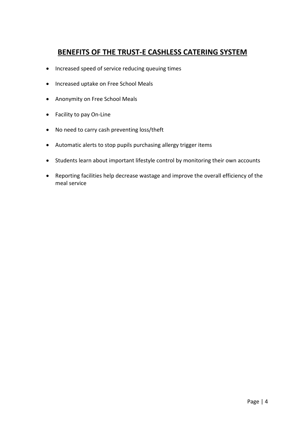# **BENEFITS OF THE TRUST‐E CASHLESS CATERING SYSTEM**

- Increased speed of service reducing queuing times
- Increased uptake on Free School Meals
- Anonymity on Free School Meals
- Facility to pay On-Line
- No need to carry cash preventing loss/theft
- Automatic alerts to stop pupils purchasing allergy trigger items
- Students learn about important lifestyle control by monitoring their own accounts
- Reporting facilities help decrease wastage and improve the overall efficiency of the meal service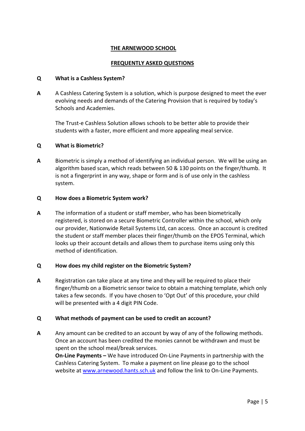#### **THE ARNEWOOD SCHOOL**

#### **FREQUENTLY ASKED QUESTIONS**

#### **Q What is a Cashless System?**

**A** A Cashless Catering System is a solution, which is purpose designed to meet the ever evolving needs and demands of the Catering Provision that is required by today's Schools and Academies.

The Trust‐e Cashless Solution allows schools to be better able to provide their students with a faster, more efficient and more appealing meal service.

#### **Q What is Biometric?**

**A** Biometric is simply a method of identifying an individual person. We will be using an algorithm based scan, which reads between 50 & 130 points on the finger/thumb. It is not a fingerprint in any way, shape or form and is of use only in the cashless system.

#### **Q How does a Biometric System work?**

**A** The information of a student or staff member, who has been biometrically registered, is stored on a secure Biometric Controller within the school, which only our provider, Nationwide Retail Systems Ltd, can access. Once an account is credited the student or staff member places their finger/thumb on the EPOS Terminal, which looks up their account details and allows them to purchase items using only this method of identification.

#### **Q How does my child register on the Biometric System?**

**A** Registration can take place at any time and they will be required to place their finger/thumb on a Biometric sensor twice to obtain a matching template, which only takes a few seconds. If you have chosen to 'Opt Out' of this procedure, your child will be presented with a 4 digit PIN Code.

#### **Q What methods of payment can be used to credit an account?**

**A** Any amount can be credited to an account by way of any of the following methods. Once an account has been credited the monies cannot be withdrawn and must be spent on the school meal/break services.

**On‐Line Payments –** We have introduced On‐Line Payments in partnership with the Cashless Catering System. To make a payment on line please go to the school website at www.arnewood.hants.sch.uk and follow the link to On-Line Payments.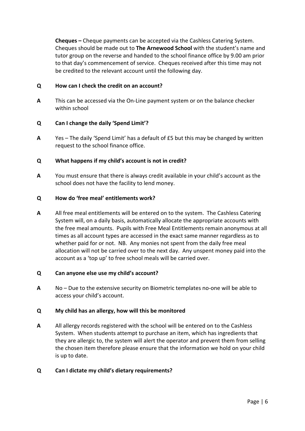**Cheques –** Cheque payments can be accepted via the Cashless Catering System. Cheques should be made out to **The Arnewood School** with the student's name and tutor group on the reverse and handed to the school finance office by 9.00 am prior to that day's commencement of service. Cheques received after this time may not be credited to the relevant account until the following day.

#### **Q How can I check the credit on an account?**

**A** This can be accessed via the On‐Line payment system or on the balance checker within school

#### **Q Can I change the daily 'Spend Limit'?**

**A** Yes – The daily 'Spend Limit' has a default of £5 but this may be changed by written request to the school finance office.

#### **Q What happens if my child's account is not in credit?**

**A** You must ensure that there is always credit available in your child's account as the school does not have the facility to lend money.

#### **Q How do 'free meal' entitlements work?**

**A** All free meal entitlements will be entered on to the system. The Cashless Catering System will, on a daily basis, automatically allocate the appropriate accounts with the free meal amounts. Pupils with Free Meal Entitlements remain anonymous at all times as all account types are accessed in the exact same manner regardless as to whether paid for or not. NB. Any monies not spent from the daily free meal allocation will not be carried over to the next day. Any unspent money paid into the account as a 'top up' to free school meals will be carried over.

#### **Q Can anyone else use my child's account?**

**A** No – Due to the extensive security on Biometric templates no‐one will be able to access your child's account.

#### **Q My child has an allergy, how will this be monitored**

**A** All allergy records registered with the school will be entered on to the Cashless System. When students attempt to purchase an item, which has ingredients that they are allergic to, the system will alert the operator and prevent them from selling the chosen item therefore please ensure that the information we hold on your child is up to date.

#### **Q Can I dictate my child's dietary requirements?**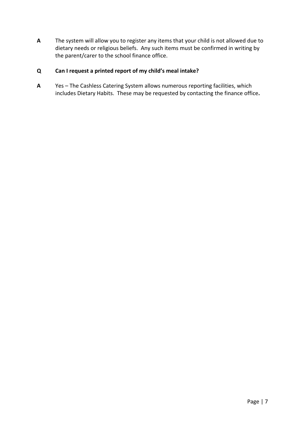**A** The system will allow you to register any items that your child is not allowed due to dietary needs or religious beliefs. Any such items must be confirmed in writing by the parent/carer to the school finance office.

### **Q Can I request a printed report of my child's meal intake?**

**A** Yes – The Cashless Catering System allows numerous reporting facilities, which includes Dietary Habits. These may be requested by contacting the finance office**.**